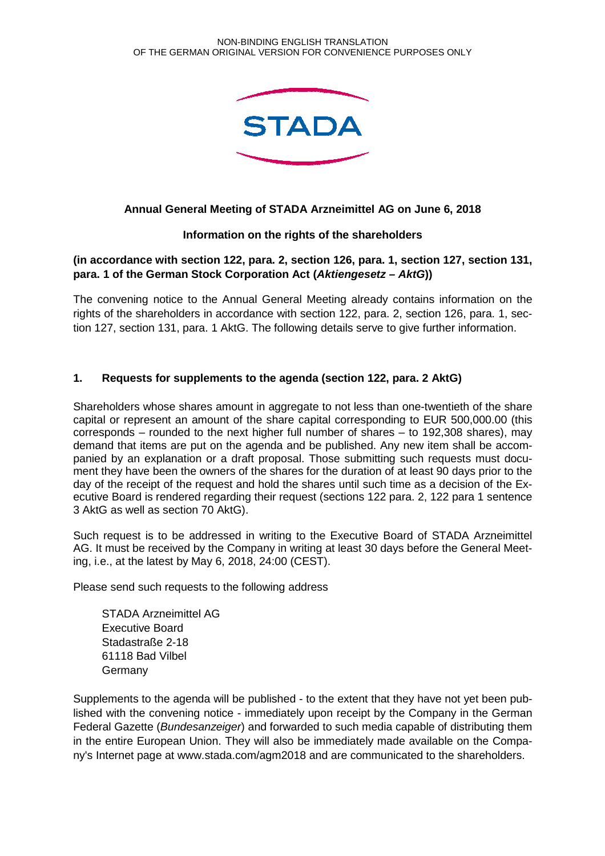

# **Annual General Meeting of STADA Arzneimittel AG on June 6, 2018**

# **Information on the rights of the shareholders**

# **(in accordance with section 122, para. 2, section 126, para. 1, section 127, section 131, para. 1 of the German Stock Corporation Act (Aktiengesetz – AktG))**

The convening notice to the Annual General Meeting already contains information on the rights of the shareholders in accordance with section 122, para. 2, section 126, para. 1, section 127, section 131, para. 1 AktG. The following details serve to give further information.

## **1. Requests for supplements to the agenda (section 122, para. 2 AktG)**

Shareholders whose shares amount in aggregate to not less than one-twentieth of the share capital or represent an amount of the share capital corresponding to EUR 500,000.00 (this corresponds – rounded to the next higher full number of shares – to 192,308 shares), may demand that items are put on the agenda and be published. Any new item shall be accompanied by an explanation or a draft proposal. Those submitting such requests must document they have been the owners of the shares for the duration of at least 90 days prior to the day of the receipt of the request and hold the shares until such time as a decision of the Executive Board is rendered regarding their request (sections 122 para. 2, 122 para 1 sentence 3 AktG as well as section 70 AktG).

Such request is to be addressed in writing to the Executive Board of STADA Arzneimittel AG. It must be received by the Company in writing at least 30 days before the General Meeting, i.e., at the latest by May 6, 2018, 24:00 (CEST).

Please send such requests to the following address

STADA Arzneimittel AG Executive Board Stadastraße 2-18 61118 Bad Vilbel Germany

Supplements to the agenda will be published - to the extent that they have not yet been published with the convening notice - immediately upon receipt by the Company in the German Federal Gazette (Bundesanzeiger) and forwarded to such media capable of distributing them in the entire European Union. They will also be immediately made available on the Company's Internet page at www.stada.com/agm2018 and are communicated to the shareholders.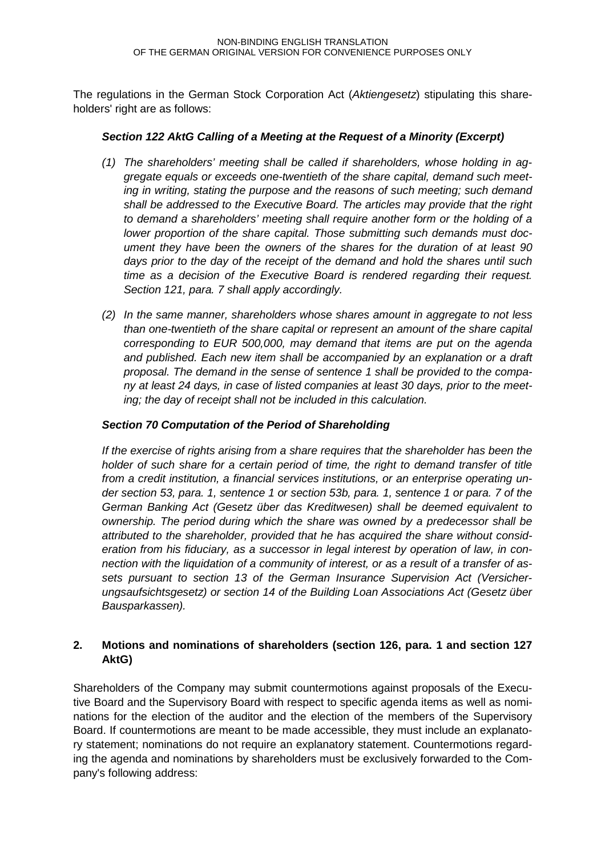The regulations in the German Stock Corporation Act (Aktiengesetz) stipulating this shareholders' right are as follows:

## **Section 122 AktG Calling of a Meeting at the Request of a Minority (Excerpt)**

- (1) The shareholders' meeting shall be called if shareholders, whose holding in aggregate equals or exceeds one-twentieth of the share capital, demand such meeting in writing, stating the purpose and the reasons of such meeting; such demand shall be addressed to the Executive Board. The articles may provide that the right to demand a shareholders' meeting shall require another form or the holding of a lower proportion of the share capital. Those submitting such demands must document they have been the owners of the shares for the duration of at least 90 days prior to the day of the receipt of the demand and hold the shares until such time as a decision of the Executive Board is rendered regarding their request. Section 121, para. 7 shall apply accordingly.
- (2) In the same manner, shareholders whose shares amount in aggregate to not less than one-twentieth of the share capital or represent an amount of the share capital corresponding to EUR 500,000, may demand that items are put on the agenda and published. Each new item shall be accompanied by an explanation or a draft proposal. The demand in the sense of sentence 1 shall be provided to the company at least 24 days, in case of listed companies at least 30 days, prior to the meeting; the day of receipt shall not be included in this calculation.

#### **Section 70 Computation of the Period of Shareholding**

If the exercise of rights arising from a share requires that the shareholder has been the holder of such share for a certain period of time, the right to demand transfer of title from a credit institution, a financial services institutions, or an enterprise operating under section 53, para. 1, sentence 1 or section 53b, para. 1, sentence 1 or para. 7 of the German Banking Act (Gesetz über das Kreditwesen) shall be deemed equivalent to ownership. The period during which the share was owned by a predecessor shall be attributed to the shareholder, provided that he has acquired the share without consideration from his fiduciary, as a successor in legal interest by operation of law, in connection with the liquidation of a community of interest, or as a result of a transfer of assets pursuant to section 13 of the German Insurance Supervision Act (Versicherungsaufsichtsgesetz) or section 14 of the Building Loan Associations Act (Gesetz über Bausparkassen).

## **2. Motions and nominations of shareholders (section 126, para. 1 and section 127 AktG)**

Shareholders of the Company may submit countermotions against proposals of the Executive Board and the Supervisory Board with respect to specific agenda items as well as nominations for the election of the auditor and the election of the members of the Supervisory Board. If countermotions are meant to be made accessible, they must include an explanatory statement; nominations do not require an explanatory statement. Countermotions regarding the agenda and nominations by shareholders must be exclusively forwarded to the Company's following address: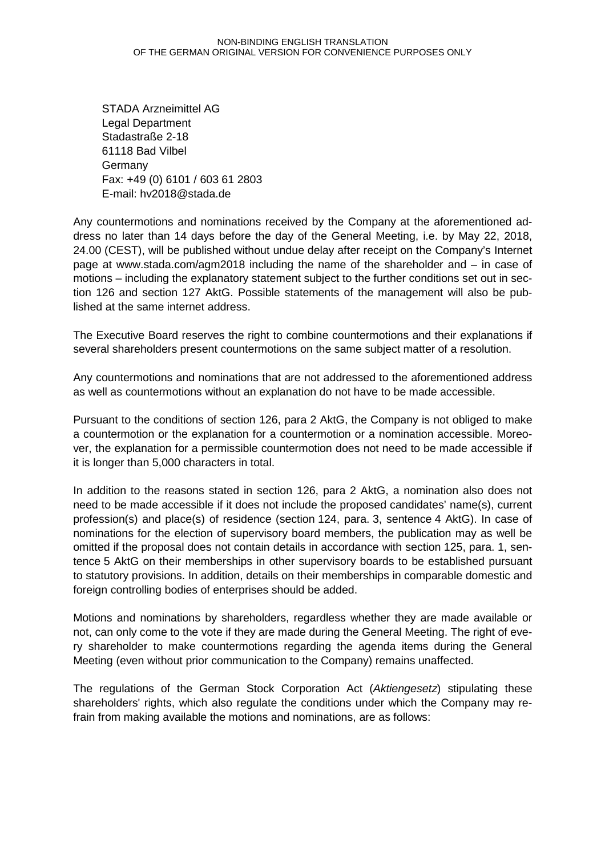STADA Arzneimittel AG Legal Department Stadastraße 2-18 61118 Bad Vilbel Germany Fax: +49 (0) 6101 / 603 61 2803 E-mail: hv2018@stada.de

Any countermotions and nominations received by the Company at the aforementioned address no later than 14 days before the day of the General Meeting, i.e. by May 22, 2018, 24.00 (CEST), will be published without undue delay after receipt on the Company's Internet page at www.stada.com/agm2018 including the name of the shareholder and – in case of motions – including the explanatory statement subject to the further conditions set out in section 126 and section 127 AktG. Possible statements of the management will also be published at the same internet address.

The Executive Board reserves the right to combine countermotions and their explanations if several shareholders present countermotions on the same subject matter of a resolution.

Any countermotions and nominations that are not addressed to the aforementioned address as well as countermotions without an explanation do not have to be made accessible.

Pursuant to the conditions of section 126, para 2 AktG, the Company is not obliged to make a countermotion or the explanation for a countermotion or a nomination accessible. Moreover, the explanation for a permissible countermotion does not need to be made accessible if it is longer than 5,000 characters in total.

In addition to the reasons stated in section 126, para 2 AktG, a nomination also does not need to be made accessible if it does not include the proposed candidates' name(s), current profession(s) and place(s) of residence (section 124, para. 3, sentence 4 AktG). In case of nominations for the election of supervisory board members, the publication may as well be omitted if the proposal does not contain details in accordance with section 125, para. 1, sentence 5 AktG on their memberships in other supervisory boards to be established pursuant to statutory provisions. In addition, details on their memberships in comparable domestic and foreign controlling bodies of enterprises should be added.

Motions and nominations by shareholders, regardless whether they are made available or not, can only come to the vote if they are made during the General Meeting. The right of every shareholder to make countermotions regarding the agenda items during the General Meeting (even without prior communication to the Company) remains unaffected.

The regulations of the German Stock Corporation Act (Aktiengesetz) stipulating these shareholders' rights, which also regulate the conditions under which the Company may refrain from making available the motions and nominations, are as follows: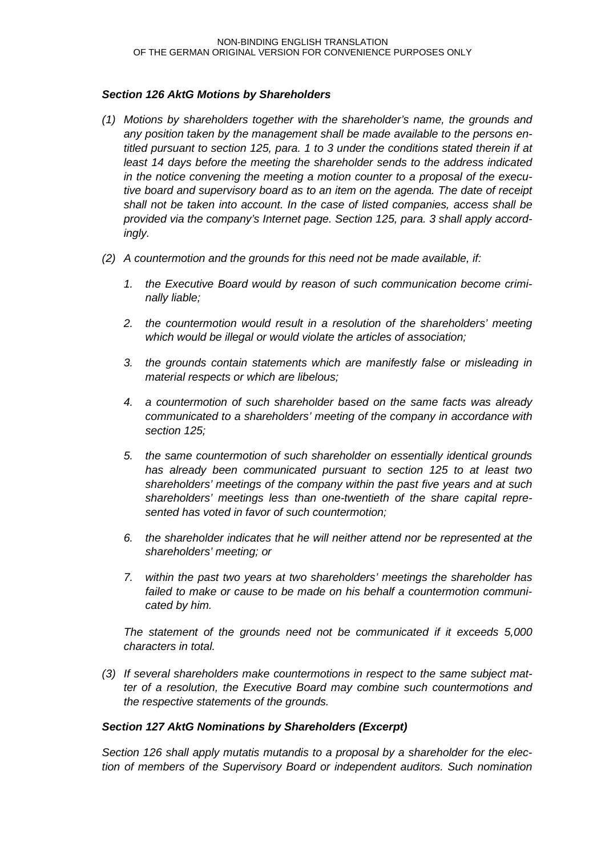#### **Section 126 AktG Motions by Shareholders**

- (1) Motions by shareholders together with the shareholder's name, the grounds and any position taken by the management shall be made available to the persons entitled pursuant to section 125, para. 1 to 3 under the conditions stated therein if at least 14 days before the meeting the shareholder sends to the address indicated in the notice convening the meeting a motion counter to a proposal of the executive board and supervisory board as to an item on the agenda. The date of receipt shall not be taken into account. In the case of listed companies, access shall be provided via the company's Internet page. Section 125, para. 3 shall apply accordingly.
- (2) A countermotion and the grounds for this need not be made available, if:
	- 1. the Executive Board would by reason of such communication become criminally liable;
	- 2. the countermotion would result in a resolution of the shareholders' meeting which would be illegal or would violate the articles of association;
	- 3. the grounds contain statements which are manifestly false or misleading in material respects or which are libelous;
	- 4. a countermotion of such shareholder based on the same facts was already communicated to a shareholders' meeting of the company in accordance with section 125;
	- 5. the same countermotion of such shareholder on essentially identical grounds has already been communicated pursuant to section 125 to at least two shareholders' meetings of the company within the past five years and at such shareholders' meetings less than one-twentieth of the share capital represented has voted in favor of such countermotion;
	- 6. the shareholder indicates that he will neither attend nor be represented at the shareholders' meeting; or
	- 7. within the past two years at two shareholders' meetings the shareholder has failed to make or cause to be made on his behalf a countermotion communicated by him.

The statement of the grounds need not be communicated if it exceeds 5,000 characters in total.

(3) If several shareholders make countermotions in respect to the same subject matter of a resolution, the Executive Board may combine such countermotions and the respective statements of the grounds.

#### **Section 127 AktG Nominations by Shareholders (Excerpt)**

Section 126 shall apply mutatis mutandis to a proposal by a shareholder for the election of members of the Supervisory Board or independent auditors. Such nomination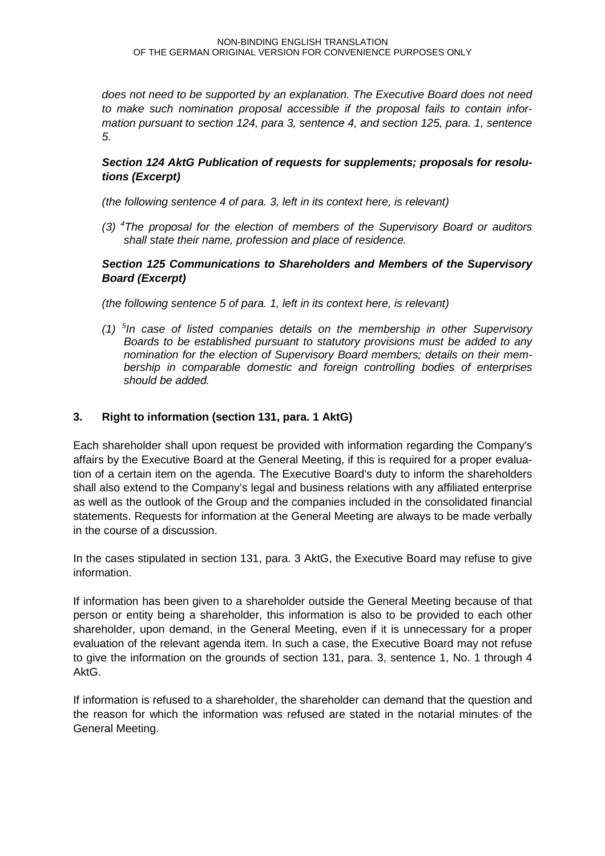does not need to be supported by an explanation. The Executive Board does not need to make such nomination proposal accessible if the proposal fails to contain information pursuant to section 124, para 3, sentence 4, and section 125, para. 1, sentence 5.

# **Section 124 AktG Publication of requests for supplements; proposals for resolutions (Excerpt)**

(the following sentence 4 of para. 3, left in its context here, is relevant)

(3)  $4$ The proposal for the election of members of the Supervisory Board or auditors shall state their name, profession and place of residence.

## **Section 125 Communications to Shareholders and Members of the Supervisory Board (Excerpt)**

(the following sentence 5 of para. 1, left in its context here, is relevant)

 $(1)$  <sup>5</sup>In case of listed companies details on the membership in other Supervisory Boards to be established pursuant to statutory provisions must be added to any nomination for the election of Supervisory Board members; details on their membership in comparable domestic and foreign controlling bodies of enterprises should be added.

# **3. Right to information (section 131, para. 1 AktG)**

Each shareholder shall upon request be provided with information regarding the Company's affairs by the Executive Board at the General Meeting, if this is required for a proper evaluation of a certain item on the agenda. The Executive Board's duty to inform the shareholders shall also extend to the Company's legal and business relations with any affiliated enterprise as well as the outlook of the Group and the companies included in the consolidated financial statements. Requests for information at the General Meeting are always to be made verbally in the course of a discussion.

In the cases stipulated in section 131, para. 3 AktG, the Executive Board may refuse to give information.

If information has been given to a shareholder outside the General Meeting because of that person or entity being a shareholder, this information is also to be provided to each other shareholder, upon demand, in the General Meeting, even if it is unnecessary for a proper evaluation of the relevant agenda item. In such a case, the Executive Board may not refuse to give the information on the grounds of section 131, para. 3, sentence 1, No. 1 through 4 AktG.

If information is refused to a shareholder, the shareholder can demand that the question and the reason for which the information was refused are stated in the notarial minutes of the General Meeting.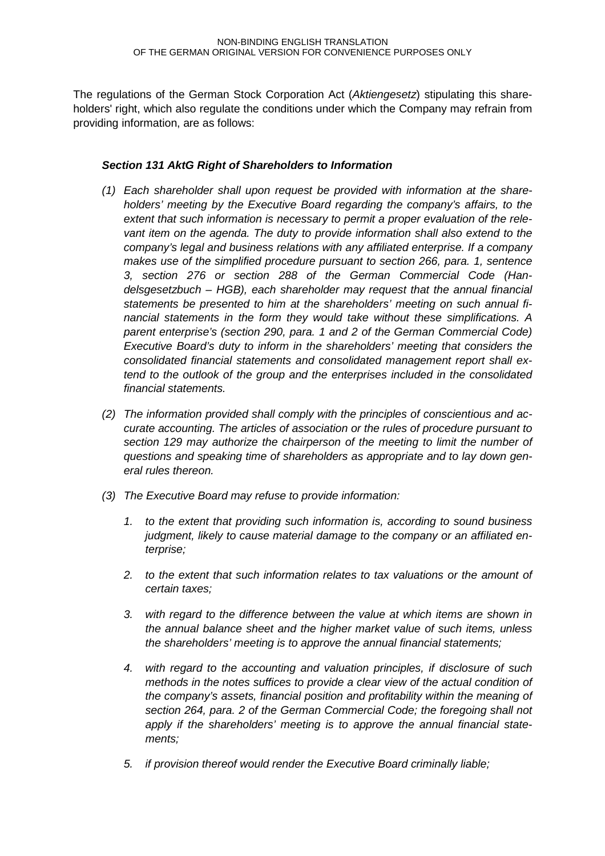The regulations of the German Stock Corporation Act (Aktiengesetz) stipulating this shareholders' right, which also regulate the conditions under which the Company may refrain from providing information, are as follows:

## **Section 131 AktG Right of Shareholders to Information**

- (1) Each shareholder shall upon request be provided with information at the shareholders' meeting by the Executive Board regarding the company's affairs, to the extent that such information is necessary to permit a proper evaluation of the relevant item on the agenda. The duty to provide information shall also extend to the company's legal and business relations with any affiliated enterprise. If a company makes use of the simplified procedure pursuant to section 266, para. 1, sentence 3, section 276 or section 288 of the German Commercial Code (Handelsgesetzbuch – HGB), each shareholder may request that the annual financial statements be presented to him at the shareholders' meeting on such annual financial statements in the form they would take without these simplifications. A parent enterprise's (section 290, para. 1 and 2 of the German Commercial Code) Executive Board's duty to inform in the shareholders' meeting that considers the consolidated financial statements and consolidated management report shall extend to the outlook of the group and the enterprises included in the consolidated financial statements.
- (2) The information provided shall comply with the principles of conscientious and accurate accounting. The articles of association or the rules of procedure pursuant to section 129 may authorize the chairperson of the meeting to limit the number of questions and speaking time of shareholders as appropriate and to lay down general rules thereon.
- (3) The Executive Board may refuse to provide information:
	- 1. to the extent that providing such information is, according to sound business judgment, likely to cause material damage to the company or an affiliated enterprise;
	- 2. to the extent that such information relates to tax valuations or the amount of certain taxes;
	- 3. with regard to the difference between the value at which items are shown in the annual balance sheet and the higher market value of such items, unless the shareholders' meeting is to approve the annual financial statements;
	- 4. with regard to the accounting and valuation principles, if disclosure of such methods in the notes suffices to provide a clear view of the actual condition of the company's assets, financial position and profitability within the meaning of section 264, para. 2 of the German Commercial Code; the foregoing shall not apply if the shareholders' meeting is to approve the annual financial statements;
	- 5. if provision thereof would render the Executive Board criminally liable;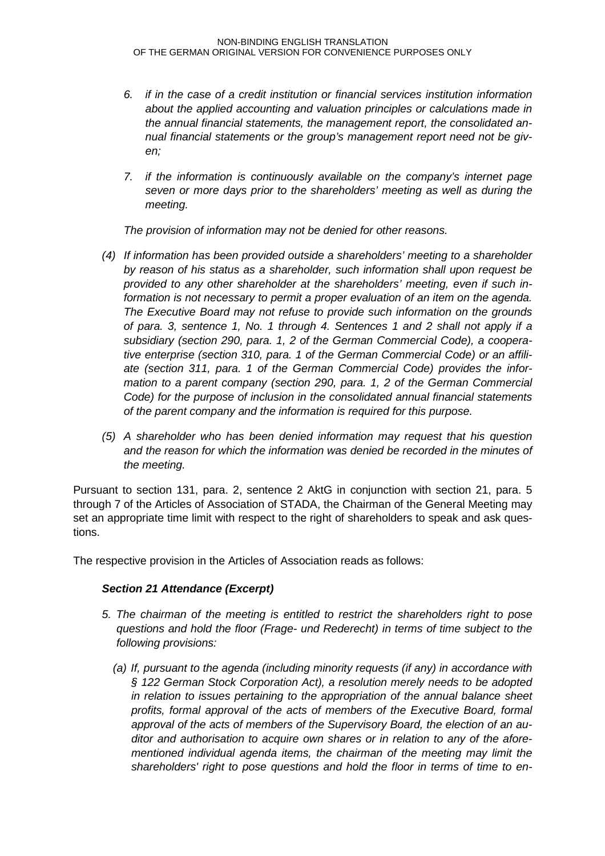- 6. if in the case of a credit institution or financial services institution information about the applied accounting and valuation principles or calculations made in the annual financial statements, the management report, the consolidated annual financial statements or the group's management report need not be given;
- 7. if the information is continuously available on the company's internet page seven or more days prior to the shareholders' meeting as well as during the meeting.

The provision of information may not be denied for other reasons.

- (4) If information has been provided outside a shareholders' meeting to a shareholder by reason of his status as a shareholder, such information shall upon request be provided to any other shareholder at the shareholders' meeting, even if such information is not necessary to permit a proper evaluation of an item on the agenda. The Executive Board may not refuse to provide such information on the grounds of para. 3, sentence 1, No. 1 through 4. Sentences 1 and 2 shall not apply if a subsidiary (section 290, para. 1, 2 of the German Commercial Code), a cooperative enterprise (section 310, para. 1 of the German Commercial Code) or an affiliate (section 311, para. 1 of the German Commercial Code) provides the information to a parent company (section 290, para. 1, 2 of the German Commercial Code) for the purpose of inclusion in the consolidated annual financial statements of the parent company and the information is required for this purpose.
- (5) A shareholder who has been denied information may request that his question and the reason for which the information was denied be recorded in the minutes of the meeting.

Pursuant to section 131, para. 2, sentence 2 AktG in conjunction with section 21, para. 5 through 7 of the Articles of Association of STADA, the Chairman of the General Meeting may set an appropriate time limit with respect to the right of shareholders to speak and ask questions.

The respective provision in the Articles of Association reads as follows:

# **Section 21 Attendance (Excerpt)**

- 5. The chairman of the meeting is entitled to restrict the shareholders right to pose questions and hold the floor (Frage- und Rederecht) in terms of time subject to the following provisions:
	- (a) If, pursuant to the agenda (including minority requests (if any) in accordance with § 122 German Stock Corporation Act), a resolution merely needs to be adopted in relation to issues pertaining to the appropriation of the annual balance sheet profits, formal approval of the acts of members of the Executive Board, formal approval of the acts of members of the Supervisory Board, the election of an auditor and authorisation to acquire own shares or in relation to any of the aforementioned individual agenda items, the chairman of the meeting may limit the shareholders' right to pose questions and hold the floor in terms of time to en-